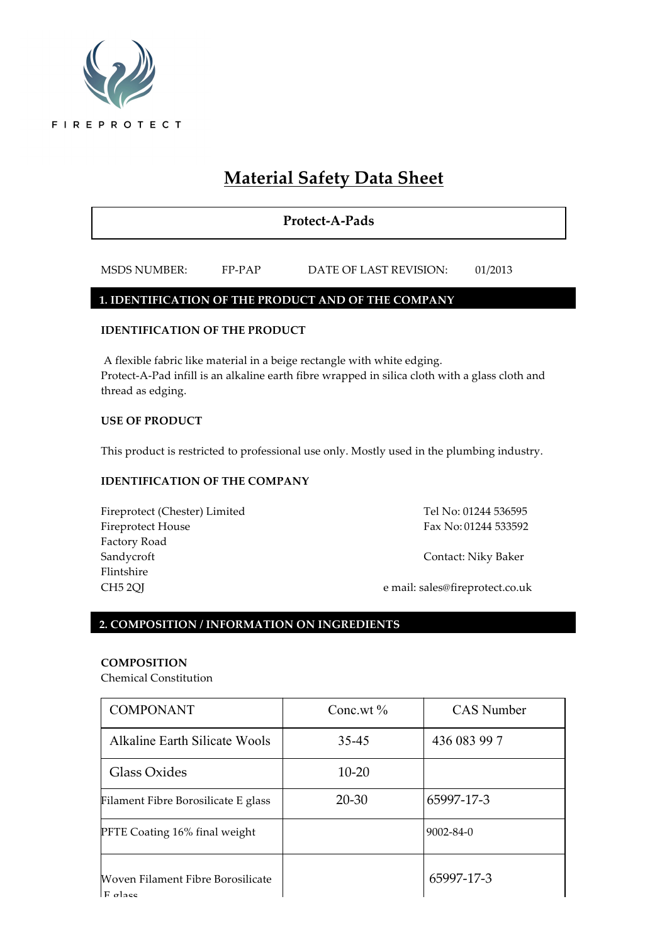

# **Material Safety Data Sheet**

**Protect-A-Pads**

MSDS NUMBER: FP-PAP DATE OF LAST REVISION: 01/2013

#### **1. IDENTIFICATION OF THE PRODUCT AND OF THE COMPANY**

#### **IDENTIFICATION OF THE PRODUCT**

A flexible fabric like material in a beige rectangle with white edging. Protect-A-Pad infill is an alkaline earth fibre wrapped in silica cloth with a glass cloth and thread as edging.

#### **USE OF PRODUCT**

This product is restricted to professional use only. Mostly used in the plumbing industry.

#### **IDENTIFICATION OF THE COMPANY**

Fireprotect (Chester) Limited Tel No: 01244 536595 Fireprotect House Fax No: 01244 533592 Factory Road Sandycroft Contact: Niky Baker Flintshire

CH5 2QJ e mail: sales@fireprotect.co.uk

### **2. COMPOSITION / INFORMATION ON INGREDIENTS**

#### **COMPOSITION**

Chemical Constitution

| <b>COMPONANT</b>                                        | Conc.wt $\%$ | <b>CAS</b> Number |
|---------------------------------------------------------|--------------|-------------------|
| Alkaline Earth Silicate Wools                           | 35-45        | 436 083 99 7      |
| Glass Oxides                                            | $10 - 20$    |                   |
| Filament Fibre Borosilicate E glass                     | $20 - 30$    | 65997-17-3        |
| <b>PFTE Coating 16% final weight</b>                    |              | $9002 - 84 - 0$   |
| <b>Woven Filament Fibre Borosilicate</b><br>$F$ $q$ acc |              | 65997-17-3        |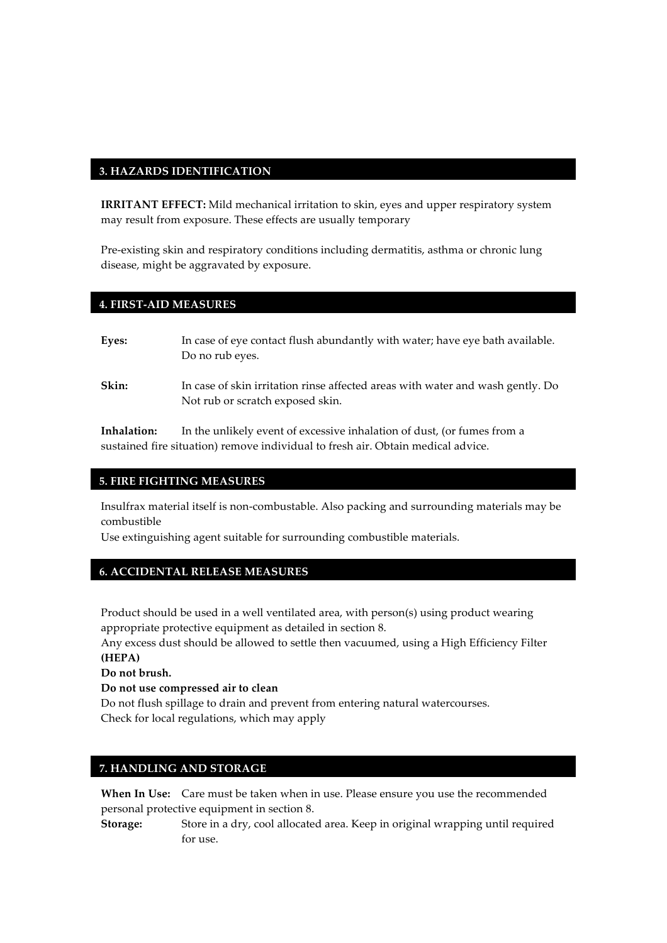#### **3. HAZARDS IDENTIFICATION**

**IRRITANT EFFECT:** Mild mechanical irritation to skin, eyes and upper respiratory system may result from exposure. These effects are usually temporary

Pre-existing skin and respiratory conditions including dermatitis, asthma or chronic lung disease, might be aggravated by exposure.

#### **4. FIRST-AID MEASURES**

| Eyes: | In case of eye contact flush abundantly with water; have eye bath available.<br>Do no rub eyes.                    |
|-------|--------------------------------------------------------------------------------------------------------------------|
| Skin: | In case of skin irritation rinse affected areas with water and wash gently. Do<br>Not rub or scratch exposed skin. |

**Inhalation:** In the unlikely event of excessive inhalation of dust, (or fumes from a sustained fire situation) remove individual to fresh air. Obtain medical advice.

#### **5. FIRE FIGHTING MEASURES**

Insulfrax material itself is non-combustable. Also packing and surrounding materials may be combustible

Use extinguishing agent suitable for surrounding combustible materials.

### **6. ACCIDENTAL RELEASE MEASURES**

Product should be used in a well ventilated area, with person(s) using product wearing appropriate protective equipment as detailed in section 8.

Any excess dust should be allowed to settle then vacuumed, using a High Efficiency Filter **(HEPA)**

**Do not brush.**

**Do not use compressed air to clean** 

Do not flush spillage to drain and prevent from entering natural watercourses. Check for local regulations, which may apply

## **7. HANDLING AND STORAGE**

**When In Use:** Care must be taken when in use. Please ensure you use the recommended personal protective equipment in section 8.

**Storage:** Store in a dry, cool allocated area. Keep in original wrapping until required for use.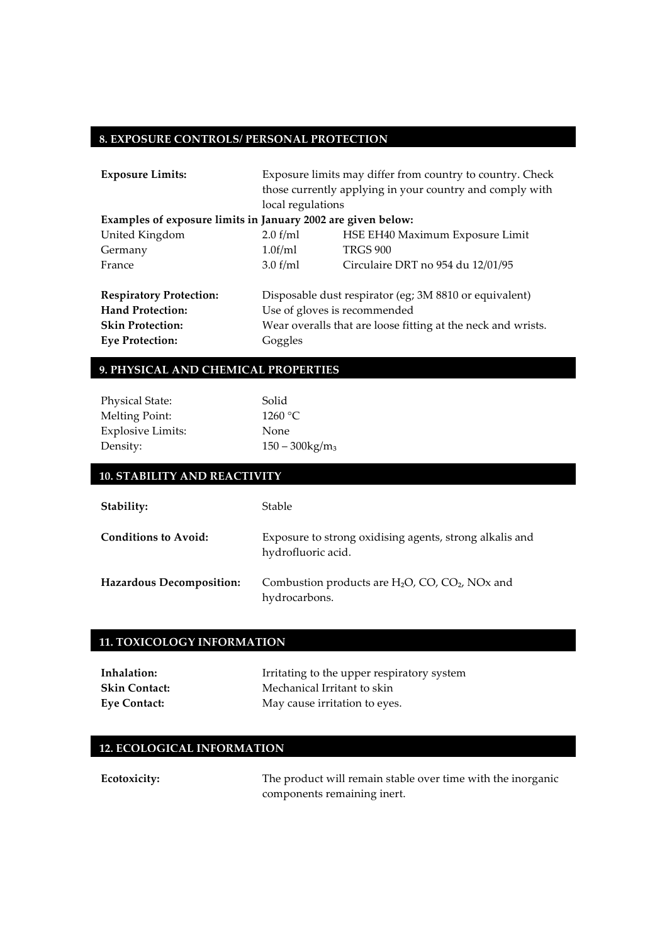## **8. EXPOSURE CONTROLS/ PERSONAL PROTECTION**

| <b>Exposure Limits:</b>                                      | Exposure limits may differ from country to country. Check    |                                                        |  |
|--------------------------------------------------------------|--------------------------------------------------------------|--------------------------------------------------------|--|
|                                                              | those currently applying in your country and comply with     |                                                        |  |
|                                                              | local regulations                                            |                                                        |  |
| Examples of exposure limits in January 2002 are given below: |                                                              |                                                        |  |
| United Kingdom                                               | 2.0 f/ml                                                     | HSE EH40 Maximum Exposure Limit                        |  |
| Germany                                                      | 1.0f/ml                                                      | <b>TRGS 900</b>                                        |  |
| France                                                       | 3.0 f/ml                                                     | Circulaire DRT no 954 du 12/01/95                      |  |
| <b>Respiratory Protection:</b>                               |                                                              | Disposable dust respirator (eg; 3M 8810 or equivalent) |  |
| <b>Hand Protection:</b>                                      | Use of gloves is recommended                                 |                                                        |  |
| <b>Skin Protection:</b>                                      | Wear overalls that are loose fitting at the neck and wrists. |                                                        |  |
| <b>Eye Protection:</b>                                       | Goggles                                                      |                                                        |  |

### **9. PHYSICAL AND CHEMICAL PROPERTIES**

| Solid                         |
|-------------------------------|
| 1260 °C                       |
| None                          |
| $150 - 300$ kg/m <sub>3</sub> |
|                               |

| <b>10. STABILITY AND REACTIVITY</b> |                                                                                             |  |
|-------------------------------------|---------------------------------------------------------------------------------------------|--|
| Stability:                          | <b>Stable</b>                                                                               |  |
| Conditions to Avoid:                | Exposure to strong oxidising agents, strong alkalis and<br>hydrofluoric acid.               |  |
| <b>Hazardous Decomposition:</b>     | Combustion products are $H_2O$ , CO, CO <sub>2</sub> , NO <sub>x</sub> and<br>hydrocarbons. |  |

### **11. TOXICOLOGY INFORMATION**

| Inhalation:          | Irritating to the upper respiratory system |
|----------------------|--------------------------------------------|
| <b>Skin Contact:</b> | Mechanical Irritant to skin                |
| <b>Eye Contact:</b>  | May cause irritation to eyes.              |

## **12. ECOLOGICAL INFORMATION**

| Ecotoxicity: | The product will remain stable over time with the inorganic |
|--------------|-------------------------------------------------------------|
|              | components remaining inert.                                 |